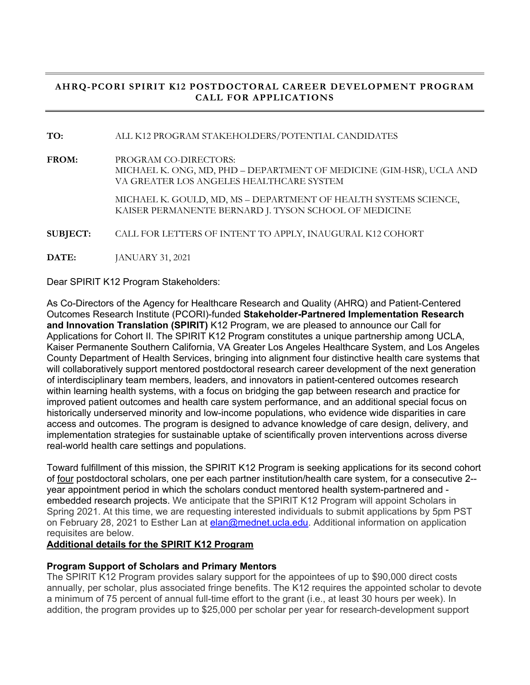# **AHRQ-PCORI SPIRIT K12 POSTDOCTORAL CAREER DEVELOPMENT PROGRAM CALL FOR APPLICATIONS**

**TO:** ALL K12 PROGRAM STAKEHOLDERS/POTENTIAL CANDIDATES

**FROM:** PROGRAM CO-DIRECTORS: MICHAEL K. ONG, MD, PHD – DEPARTMENT OF MEDICINE (GIM-HSR), UCLA AND VA GREATER LOS ANGELES HEALTHCARE SYSTEM

> MICHAEL K. GOULD, MD, MS – DEPARTMENT OF HEALTH SYSTEMS SCIENCE, KAISER PERMANENTE BERNARD J. TYSON SCHOOL OF MEDICINE

**SUBJECT:** CALL FOR LETTERS OF INTENT TO APPLY, INAUGURAL K12 COHORT

**DATE:** JANUARY 31, 2021

Dear SPIRIT K12 Program Stakeholders:

As Co-Directors of the Agency for Healthcare Research and Quality (AHRQ) and Patient-Centered Outcomes Research Institute (PCORI)-funded **Stakeholder-Partnered Implementation Research and Innovation Translation (SPIRIT)** K12 Program, we are pleased to announce our Call for Applications for Cohort II. The SPIRIT K12 Program constitutes a unique partnership among UCLA, Kaiser Permanente Southern California, VA Greater Los Angeles Healthcare System, and Los Angeles County Department of Health Services, bringing into alignment four distinctive health care systems that will collaboratively support mentored postdoctoral research career development of the next generation of interdisciplinary team members, leaders, and innovators in patient-centered outcomes research within learning health systems, with a focus on bridging the gap between research and practice for improved patient outcomes and health care system performance, and an additional special focus on historically underserved minority and low-income populations, who evidence wide disparities in care access and outcomes. The program is designed to advance knowledge of care design, delivery, and implementation strategies for sustainable uptake of scientifically proven interventions across diverse real-world health care settings and populations.

Toward fulfillment of this mission, the SPIRIT K12 Program is seeking applications for its second cohort of four postdoctoral scholars, one per each partner institution/health care system, for a consecutive 2- year appointment period in which the scholars conduct mentored health system-partnered and embedded research projects. We anticipate that the SPIRIT K12 Program will appoint Scholars in Spring 2021. At this time, we are requesting interested individuals to submit applications by 5pm PST on February 28, 2021 to Esther Lan at **elan@mednet.ucla.edu**. Additional information on application requisites are below.

#### **Additional details for the SPIRIT K12 Program**

### **Program Support of Scholars and Primary Mentors**

The SPIRIT K12 Program provides salary support for the appointees of up to \$90,000 direct costs annually, per scholar, plus associated fringe benefits. The K12 requires the appointed scholar to devote a minimum of 75 percent of annual full-time effort to the grant (i.e., at least 30 hours per week). In addition, the program provides up to \$25,000 per scholar per year for research-development support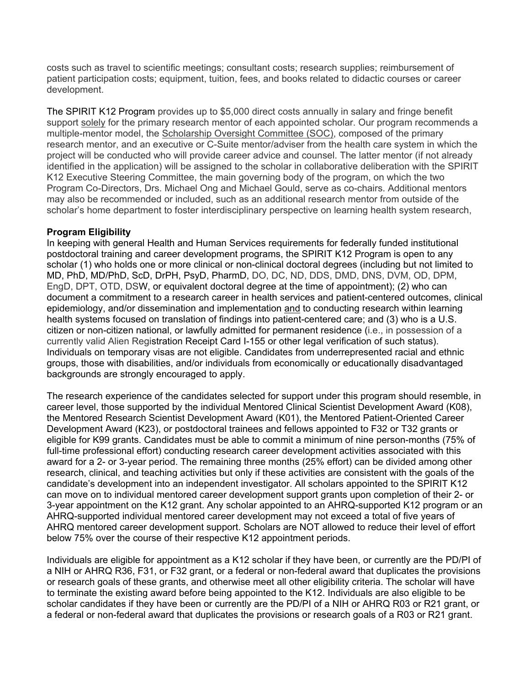costs such as travel to scientific meetings; consultant costs; research supplies; reimbursement of patient participation costs; equipment, tuition, fees, and books related to didactic courses or career development.

The SPIRIT K12 Program provides up to \$5,000 direct costs annually in salary and fringe benefit support solely for the primary research mentor of each appointed scholar. Our program recommends a multiple-mentor model, the Scholarship Oversight Committee (SOC), composed of the primary research mentor, and an executive or C-Suite mentor/adviser from the health care system in which the project will be conducted who will provide career advice and counsel. The latter mentor (if not already identified in the application) will be assigned to the scholar in collaborative deliberation with the SPIRIT K12 Executive Steering Committee, the main governing body of the program, on which the two Program Co-Directors, Drs. Michael Ong and Michael Gould, serve as co-chairs. Additional mentors may also be recommended or included, such as an additional research mentor from outside of the scholar's home department to foster interdisciplinary perspective on learning health system research,

### **Program Eligibility**

In keeping with general Health and Human Services requirements for federally funded institutional postdoctoral training and career development programs, the SPIRIT K12 Program is open to any scholar (1) who holds one or more clinical or non-clinical doctoral degrees (including but not limited to MD, PhD, MD/PhD, ScD, DrPH, PsyD, PharmD, DO, DC, ND, DDS, DMD, DNS, DVM, OD, DPM, EngD, DPT, OTD, DSW, or equivalent doctoral degree at the time of appointment); (2) who can document a commitment to a research career in health services and patient-centered outcomes, clinical epidemiology, and/or dissemination and implementation and to conducting research within learning health systems focused on translation of findings into patient-centered care; and (3) who is a U.S. citizen or non-citizen national, or lawfully admitted for permanent residence (i.e., in possession of a currently valid Alien Registration Receipt Card I-155 or other legal verification of such status). Individuals on temporary visas are not eligible. Candidates from underrepresented racial and ethnic groups, those with disabilities, and/or individuals from economically or educationally disadvantaged backgrounds are strongly encouraged to apply.

The research experience of the candidates selected for support under this program should resemble, in career level, those supported by the individual Mentored Clinical Scientist Development Award (K08), the Mentored Research Scientist Development Award (K01), the Mentored Patient-Oriented Career Development Award (K23), or postdoctoral trainees and fellows appointed to F32 or T32 grants or eligible for K99 grants. Candidates must be able to commit a minimum of nine person-months (75% of full-time professional effort) conducting research career development activities associated with this award for a 2- or 3-year period. The remaining three months (25% effort) can be divided among other research, clinical, and teaching activities but only if these activities are consistent with the goals of the candidate's development into an independent investigator. All scholars appointed to the SPIRIT K12 can move on to individual mentored career development support grants upon completion of their 2- or 3-year appointment on the K12 grant. Any scholar appointed to an AHRQ-supported K12 program or an AHRQ-supported individual mentored career development may not exceed a total of five years of AHRQ mentored career development support. Scholars are NOT allowed to reduce their level of effort below 75% over the course of their respective K12 appointment periods.

Individuals are eligible for appointment as a K12 scholar if they have been, or currently are the PD/PI of a NIH or AHRQ R36, F31, or F32 grant, or a federal or non-federal award that duplicates the provisions or research goals of these grants, and otherwise meet all other eligibility criteria. The scholar will have to terminate the existing award before being appointed to the K12. Individuals are also eligible to be scholar candidates if they have been or currently are the PD/PI of a NIH or AHRQ R03 or R21 grant, or a federal or non-federal award that duplicates the provisions or research goals of a R03 or R21 grant.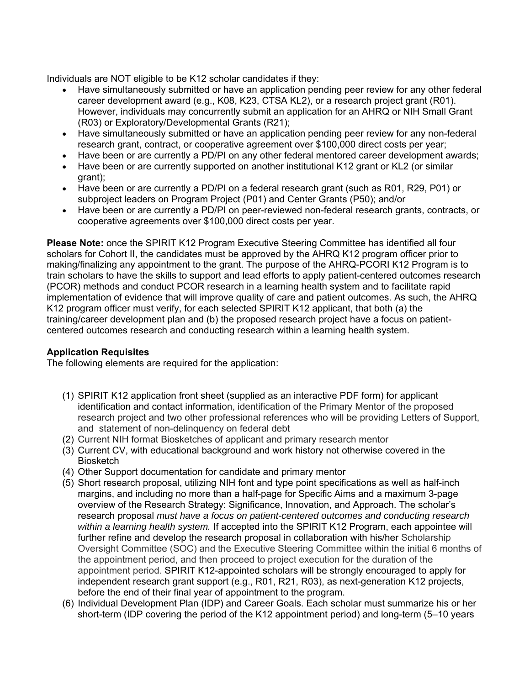Individuals are NOT eligible to be K12 scholar candidates if they:

- Have simultaneously submitted or have an application pending peer review for any other federal career development award (e.g., K08, K23, CTSA KL2), or a research project grant (R01). However, individuals may concurrently submit an application for an AHRQ or NIH Small Grant (R03) or Exploratory/Developmental Grants (R21);
- Have simultaneously submitted or have an application pending peer review for any non-federal research grant, contract, or cooperative agreement over \$100,000 direct costs per year;
- Have been or are currently a PD/PI on any other federal mentored career development awards;
- Have been or are currently supported on another institutional K12 grant or KL2 (or similar grant);
- Have been or are currently a PD/PI on a federal research grant (such as R01, R29, P01) or subproject leaders on Program Project (P01) and Center Grants (P50); and/or
- Have been or are currently a PD/PI on peer-reviewed non-federal research grants, contracts, or cooperative agreements over \$100,000 direct costs per year.

**Please Note:** once the SPIRIT K12 Program Executive Steering Committee has identified all four scholars for Cohort II, the candidates must be approved by the AHRQ K12 program officer prior to making/finalizing any appointment to the grant. The purpose of the AHRQ-PCORI K12 Program is to train scholars to have the skills to support and lead efforts to apply patient-centered outcomes research (PCOR) methods and conduct PCOR research in a learning health system and to facilitate rapid implementation of evidence that will improve quality of care and patient outcomes. As such, the AHRQ K12 program officer must verify, for each selected SPIRIT K12 applicant, that both (a) the training/career development plan and (b) the proposed research project have a focus on patientcentered outcomes research and conducting research within a learning health system.

# **Application Requisites**

The following elements are required for the application:

- (1) SPIRIT K12 application front sheet (supplied as an interactive PDF form) for applicant identification and contact information, identification of the Primary Mentor of the proposed research project and two other professional references who will be providing Letters of Support, and statement of non-delinquency on federal debt
- (2) Current NIH format Biosketches of applicant and primary research mentor
- (3) Current CV, with educational background and work history not otherwise covered in the **Biosketch**
- (4) Other Support documentation for candidate and primary mentor
- (5) Short research proposal, utilizing NIH font and type point specifications as well as half-inch margins, and including no more than a half-page for Specific Aims and a maximum 3-page overview of the Research Strategy: Significance, Innovation, and Approach. The scholar's research proposal *must have a focus on patient-centered outcomes and conducting research within a learning health system.* If accepted into the SPIRIT K12 Program, each appointee will further refine and develop the research proposal in collaboration with his/her Scholarship Oversight Committee (SOC) and the Executive Steering Committee within the initial 6 months of the appointment period, and then proceed to project execution for the duration of the appointment period. SPIRIT K12-appointed scholars will be strongly encouraged to apply for independent research grant support (e.g., R01, R21, R03), as next-generation K12 projects, before the end of their final year of appointment to the program.
- (6) Individual Development Plan (IDP) and Career Goals. Each scholar must summarize his or her short-term (IDP covering the period of the K12 appointment period) and long-term (5–10 years